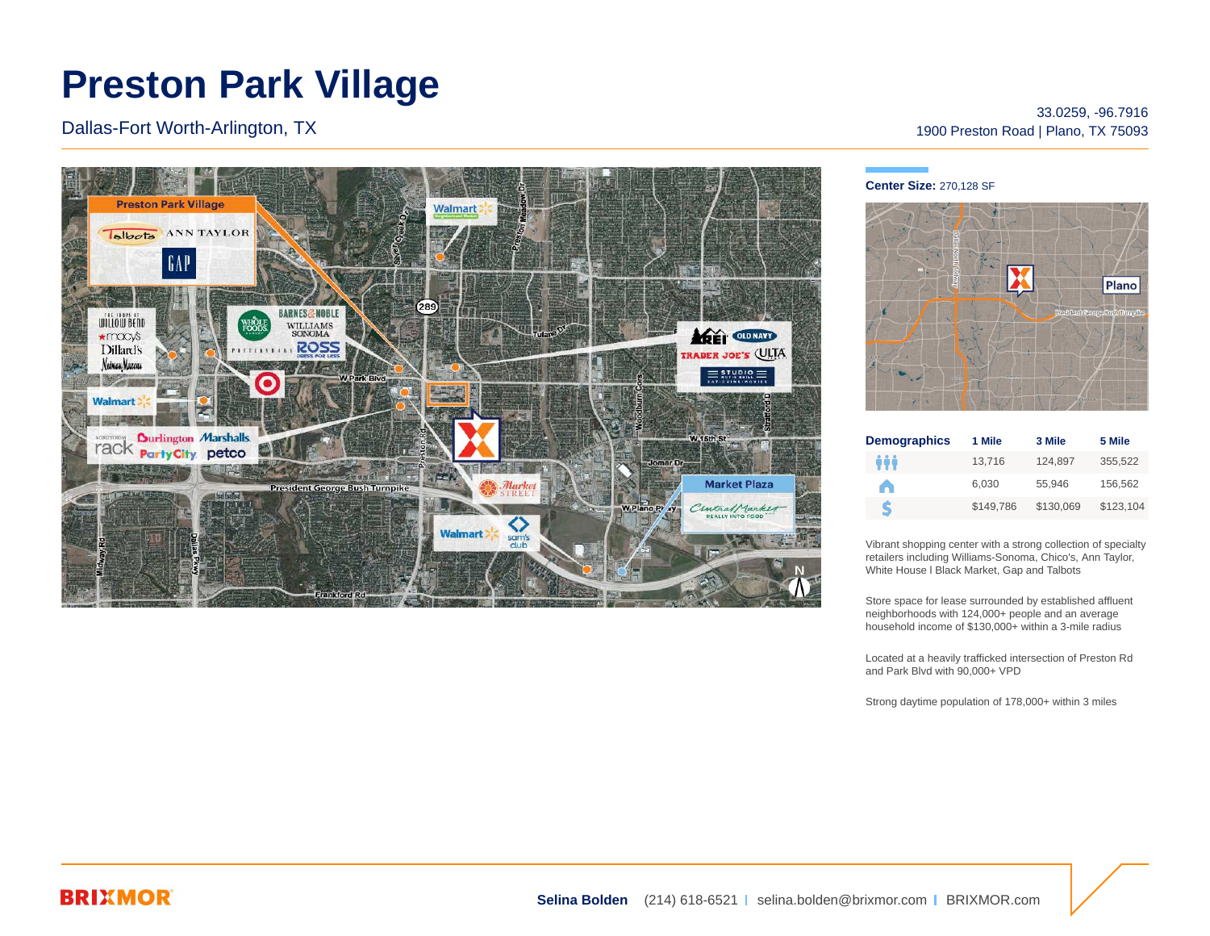## **Preston Park Village**

Dallas-Fort Worth-Arlington, TX



33.0259, -96.7916 1900 Preston Road | Plano, TX 75093

## **Center Size:** 270,128 SF



| <b>Demographics</b> | 1 Mile    | 3 Mile    | 5 Mile    |
|---------------------|-----------|-----------|-----------|
| ÷÷                  | 13.716    | 124.897   | 355.522   |
| A                   | 6.030     | 55.946    | 156.562   |
| S                   | \$149.786 | \$130.069 | \$123.104 |

Vibrant shopping center with a strong collection of specialty retailers including Williams-Sonoma, Chico's, Ann Taylor, White House l Black Market, Gap and Talbots

Store space for lease surrounded by established affluent neighborhoods with 124,000+ people and an average household income of \$130,000+ within a 3-mile radius

Located at a heavily trafficked intersection of Preston Rd and Park Blvd with 90,000+ VPD

Strong daytime population of 178,000+ within 3 miles